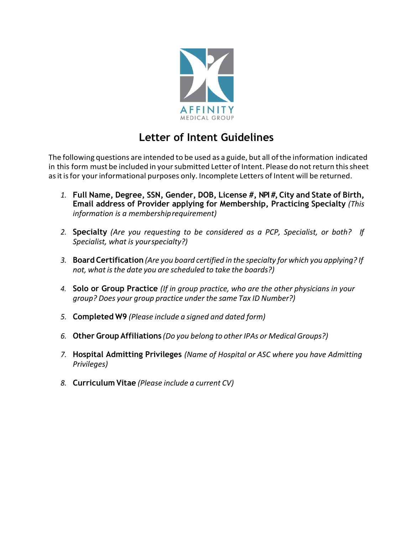

## **Letter of Intent Guidelines**

The following questions are intended to be used as a guide, but all of the information indicated in this form must be included in your submitted Letter of Intent. Please do not return this sheet as it is for your informational purposes only. Incomplete Letters of Intent will be returned.

- *1.* **Full Name, Degree, SSN, Gender, DOB, License #, NPI #, City and State of Birth, Email address of Provider applying for Membership, Practicing Specialty** *(This information is a membershiprequirement)*
- *2.* **Specialty** *(Are you requesting to be considered as a PCP, Specialist, or both? If Specialist, what is yourspecialty?)*
- *3.* **Board Certification** *(Are you board certified in the specialty for which you applying? If not, what isthe date you are scheduled to take the boards?)*
- *4.* **Solo or Group Practice** *(If in group practice, who are the other physicians in your group? Does your group practice under the same Tax ID Number?)*
- *5.* **Completed W9** *(Please include a signed and dated form)*
- *6.* **Other Group Affiliations** *(Do you belong to other IPAs or Medical Groups?)*
- *7.* **Hospital Admitting Privileges** *(Name of Hospital or ASC where you have Admitting Privileges)*
- *8.* **Curriculum Vitae** *(Please include a current CV)*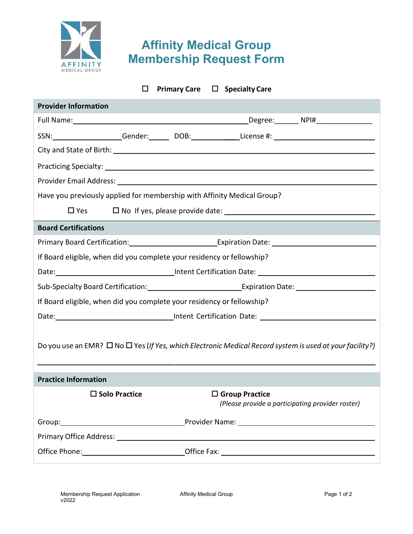

## **Affinity Medical Group Membership Request Form**

| □                                                                                                                                                                                                                                   | Primary Care $\Box$ Specialty Care                                                                                 |
|-------------------------------------------------------------------------------------------------------------------------------------------------------------------------------------------------------------------------------------|--------------------------------------------------------------------------------------------------------------------|
| <b>Provider Information</b>                                                                                                                                                                                                         |                                                                                                                    |
|                                                                                                                                                                                                                                     |                                                                                                                    |
|                                                                                                                                                                                                                                     | SSN: ____________________Gender: _______DOB: _____________License #: ______________________________                |
|                                                                                                                                                                                                                                     |                                                                                                                    |
|                                                                                                                                                                                                                                     |                                                                                                                    |
|                                                                                                                                                                                                                                     |                                                                                                                    |
| Have you previously applied for membership with Affinity Medical Group?                                                                                                                                                             |                                                                                                                    |
|                                                                                                                                                                                                                                     |                                                                                                                    |
| <b>Board Certifications</b>                                                                                                                                                                                                         |                                                                                                                    |
|                                                                                                                                                                                                                                     |                                                                                                                    |
| If Board eligible, when did you complete your residency or fellowship?                                                                                                                                                              |                                                                                                                    |
|                                                                                                                                                                                                                                     |                                                                                                                    |
|                                                                                                                                                                                                                                     | Sub-Specialty Board Certification: Cambridge Capitalism Cater Control Cate: Capitalism Control Certification:      |
| If Board eligible, when did you complete your residency or fellowship?                                                                                                                                                              |                                                                                                                    |
|                                                                                                                                                                                                                                     |                                                                                                                    |
|                                                                                                                                                                                                                                     | Do you use an EMR? $\Box$ No $\Box$ Yes (If Yes, which Electronic Medical Record system is used at your facility?) |
| <b>Practice Information</b>                                                                                                                                                                                                         |                                                                                                                    |
| $\square$ Solo Practice                                                                                                                                                                                                             | $\square$ Group Practice<br>(Please provide a participating provider roster)                                       |
|                                                                                                                                                                                                                                     |                                                                                                                    |
| <b>Primary Office Address:</b> Note that the set of the set of the set of the set of the set of the set of the set of the set of the set of the set of the set of the set of the set of the set of the set of the set of the set of |                                                                                                                    |
|                                                                                                                                                                                                                                     |                                                                                                                    |